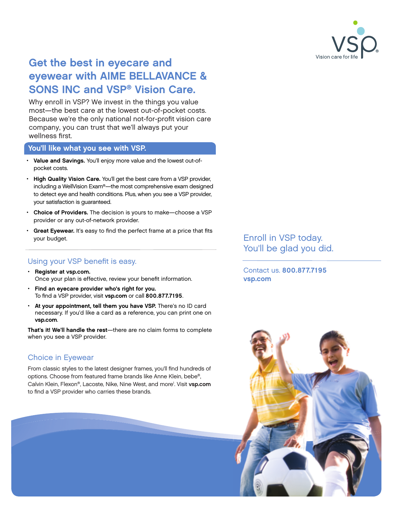

# Get the best in eyecare and eyewear with AIME BELLAVANCE & SONS INC and VSP® Vision Care.

Why enroll in VSP? We invest in the things you value most—the best care at the lowest out-of-pocket costs. Because we're the only national not-for-profit vision care company, you can trust that we'll always put your wellness first.

#### You'll like what you see with VSP.

- Value and Savings. You'll enjoy more value and the lowest out-ofpocket costs.
- High Quality Vision Care. You'll get the best care from a VSP provider, including a WellVision Exam®—the most comprehensive exam designed to detect eye and health conditions. Plus, when you see a VSP provider, your satisfaction is guaranteed.
- Choice of Providers. The decision is yours to make-choose a VSP provider or any out-of-network provider.
- Great Eyewear. It's easy to find the perfect frame at a price that fits your budget.

## Using your VSP benefit is easy.

- Register at [vsp.com.](http://www.vsp.com) Once your plan is effective, review your benefit information.
- Find an eyecare provider who's right for you. To find a VSP provider, visit [vsp.com](http://www.vsp.com) or call 800.877.7195.
- At your appointment, tell them you have VSP. There's no ID card necessary. If you'd like a card as a reference, you can print one on [vsp.com](http://www.vsp.com).

That's it! We'll handle the rest—there are no claim forms to complete when you see a VSP provider.

## Choice in Eyewear

From classic styles to the latest designer frames, you'll find hundreds of options. Choose from featured frame brands like Anne Klein, bebe®, Calvin Klein, Flexon®, Lacoste, Nike, Nine West, and more<sup>1</sup>. Visit [vsp.com](http://www.vsp.com) to find a VSP provider who carries these brands.

Enroll in VSP today. You'll be glad you did.

Contact us. 800.877.7195 [vsp.com](http://www.vsp.com)